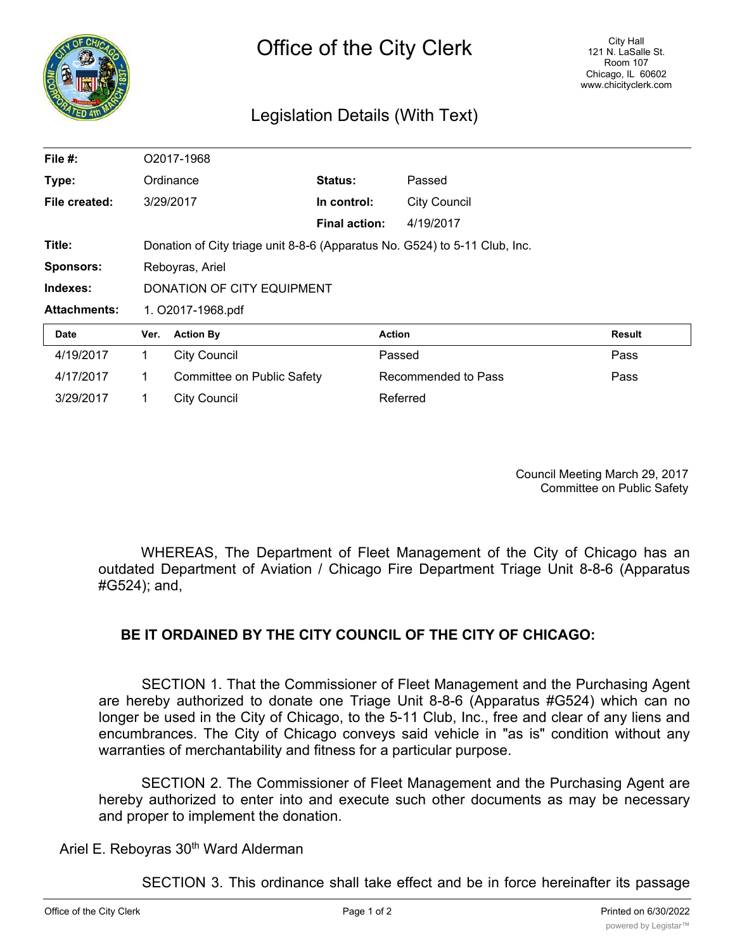| ∣ສ                  | Office of the City Clerk<br>Legislation Details (With Text) |                                                                            |                      |                     | <b>City Hall</b><br>121 N. LaSalle St.<br><b>Room 107</b><br>Chicago, IL 60602<br>www.chicityclerk.com |  |
|---------------------|-------------------------------------------------------------|----------------------------------------------------------------------------|----------------------|---------------------|--------------------------------------------------------------------------------------------------------|--|
|                     |                                                             |                                                                            |                      |                     |                                                                                                        |  |
| File $#$ :          |                                                             | O2017-1968                                                                 |                      |                     |                                                                                                        |  |
| Type:               |                                                             | Ordinance                                                                  | Status:              | Passed              |                                                                                                        |  |
| File created:       |                                                             | 3/29/2017                                                                  | In control:          | <b>City Council</b> |                                                                                                        |  |
|                     |                                                             |                                                                            | <b>Final action:</b> | 4/19/2017           |                                                                                                        |  |
| Title:              |                                                             | Donation of City triage unit 8-8-6 (Apparatus No. G524) to 5-11 Club, Inc. |                      |                     |                                                                                                        |  |
| <b>Sponsors:</b>    | Reboyras, Ariel                                             |                                                                            |                      |                     |                                                                                                        |  |
| Indexes:            |                                                             | DONATION OF CITY EQUIPMENT                                                 |                      |                     |                                                                                                        |  |
| <b>Attachments:</b> | 1. O2017-1968.pdf                                           |                                                                            |                      |                     |                                                                                                        |  |
| Date                | Ver.                                                        | <b>Action By</b>                                                           |                      | <b>Action</b>       | <b>Result</b>                                                                                          |  |
| 4/19/2017           | 1                                                           | <b>City Council</b>                                                        |                      | Passed              | Pass                                                                                                   |  |
| 4/17/2017           | 1                                                           | Committee on Public Safety                                                 |                      | Recommended to Pass | Pass                                                                                                   |  |

Council Meeting March 29, 2017 Committee on Public Safety

WHEREAS, The Department of Fleet Management of the City of Chicago has an outdated Department of Aviation / Chicago Fire Department Triage Unit 8-8-6 (Apparatus #G524); and,

## **BE IT ORDAINED BY THE CITY COUNCIL OF THE CITY OF CHICAGO:**

SECTION 1. That the Commissioner of Fleet Management and the Purchasing Agent are hereby authorized to donate one Triage Unit 8-8-6 (Apparatus #G524) which can no longer be used in the City of Chicago, to the 5-11 Club, Inc., free and clear of any liens and encumbrances. The City of Chicago conveys said vehicle in "as is" condition without any warranties of merchantability and fitness for a particular purpose.

SECTION 2. The Commissioner of Fleet Management and the Purchasing Agent are hereby authorized to enter into and execute such other documents as may be necessary and proper to implement the donation.

Ariel E. Reboyras 30<sup>th</sup> Ward Alderman

3/29/2017 1 City Council Referred

SECTION 3. This ordinance shall take effect and be in force hereinafter its passage